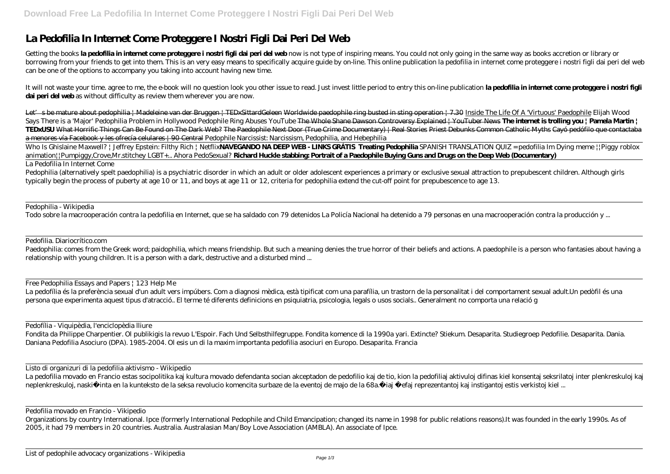## **La Pedofilia In Internet Come Proteggere I Nostri Figli Dai Peri Del Web**

Getting the books **la pedofilia in internet come proteggere i nostri figli dai peri del web** now is not type of inspiring means. You could not only going in the same way as books accretion or library or borrowing from your friends to get into them. This is an very easy means to specifically acquire guide by on-line. This online publication la pedofilia in internet come proteggere i nostri figli dai peri del web can be one of the options to accompany you taking into account having new time.

It will not waste your time. agree to me, the e-book will no question look you other issue to read. Just invest little period to entry this on-line publication **la pedofilia in internet come proteggere i nostri figli dai peri del web** as without difficulty as review them wherever you are now.

Let's be mature about pedophilia | Madeleine van der Bruggen | TEDxSittardGeleen Worldwide paedophile ring busted in sting operation | 7.30 Inside The Life Of A 'Virtuous' Paedophile Elijah Wood Says There is a 'Major' Pedophilia Problem in Hollywood *Pedophile Ring Abuses YouTube* The Whole Shane Dawson Controversy Explained | YouTuber News **The internet is trolling you | Pamela Martin | TEDxUSU** What Horrific Things Can Be Found on The Dark Web? The Paedophile Next Door (True Crime Documentary) | Real Stories Priest Debunks Common Catholic Myths Cayó pedófilo que contactaba a menores vía Facebook y les ofrecía celulares | 90 Central Pedophile Narcissist: Narcissism, Pedophilia, and Hebephilia

Paedophilia: comes from the Greek word; paidophilia, which means friendship. But such a meaning denies the true horror of their beliefs and actions. A paedophile is a person who fantasies about having a relationship with young children. It is a person with a dark, destructive and a disturbed mind ...

Who Is Ghislaine Maxwell? | Jeffrey Epstein: Filthy Rich | Netflix**NAVEGANDO NA DEEP WEB - LINKS GRÁTIS Treating Pedophilia** *SPANISH TRANSLATION QUIZ = pedofilia* Im Dying meme ||Piggy roblox animation||Pumpiggy,Crove,Mr.stitchey *LGBT+... Ahora PedoSexual?* **Richard Huckle stabbing: Portrait of a Paedophile Buying Guns and Drugs on the Deep Web (Documentary)** La Pedofilia In Internet Come

La pedofilia movado en Francio estas socipolitika kaj kultura movado defendanta socian akceptadon de pedofilio kaj de tio, kion la pedofiliaj aktivuloj difinas kiel konsentaj seksrilatoj inter plenkreskuloj kaj neplenkreskuloj, naski inta en la kunteksto de la seksa revolucio komencita surbaze de la eventoj de majo de la 68a. iaj efaj reprezentantoj kaj instigantoj estis verkistoj kiel ...

Pedophilia (alternatively spelt paedophilia) is a psychiatric disorder in which an adult or older adolescent experiences a primary or exclusive sexual attraction to prepubescent children. Although girls typically begin the process of puberty at age 10 or 11, and boys at age 11 or 12, criteria for pedophilia extend the cut-off point for prepubescence to age 13.

Pedophilia - Wikipedia

Todo sobre la macrooperación contra la pedofilia en Internet, que se ha saldado con 79 detenidos La Policía Nacional ha detenido a 79 personas en una macrooperación contra la producción y ...

Pedofilia. Diariocrítico.com

Free Pedophilia Essays and Papers | 123 Help Me

La pedofília és la preferència sexual d'un adult vers impúbers. Com a diagnosi mèdica, està tipificat com una parafília, un trastorn de la personalitat i del comportament sexual adult.Un pedòfil és una persona que experimenta aquest tipus d'atracció.. El terme té diferents definicions en psiquiatria, psicologia, legals o usos socials.. Generalment no comporta una relació g

Pedofília - Viquipèdia, l'enciclopèdia lliure

Fondita da Philippe Charpentier. Ol publikigis la revuo L'Espoir. Fach Und Selbsthilfegruppe. Fondita komence di la 1990a yari. Extincte? Stiekum. Desaparita. Studiegroep Pedofilie. Desaparita. Dania. Daniana Pedofilia Asociuro (DPA). 1985-2004. Ol esis un di la maxim importanta pedofilia asociuri en Europo. Desaparita. Francia

Listo di organizuri di la pedofilia aktivismo - Wikipedio

Pedofilia movado en Francio - Vikipedio

Organizations by country International. Ipce (formerly International Pedophile and Child Emancipation; changed its name in 1998 for public relations reasons).It was founded in the early 1990s. As of 2005, it had 79 members in 20 countries. Australia. Australasian Man/Boy Love Association (AMBLA). An associate of Ipce.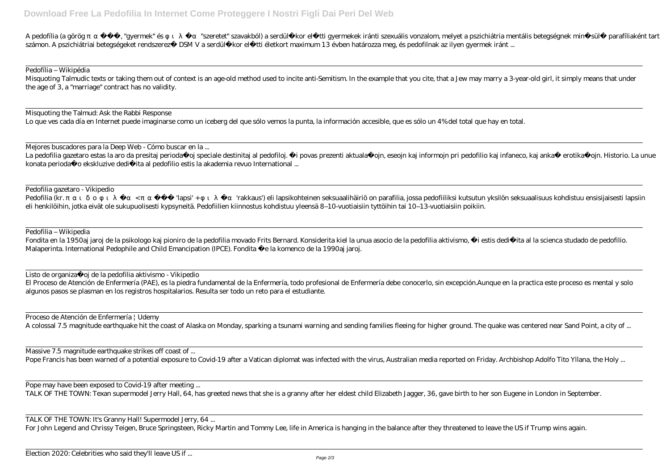A pedofilia (a görög ""gyermek" és "szeretet" szavakból) a serdülőkor előtti gyermekek iránti szexuális vonzalom, melyet a pszichiátria mentális betegségnek minősülő parafiliaként tart számon. A pszichiátriai betegségeket rendszerez DSM V a serdül kor el tti életkort maximum 13 évben határozza meg, és pedofilnak az ilyen gyermek iránt ...

Pedofília – Wikipédia

Misquoting Talmudic texts or taking them out of context is an age-old method used to incite anti-Semitism. In the example that you cite, that a Jew may marry a 3-year-old girl, it simply means that under the age of 3, a "marriage" contract has no validity.

Misquoting the Talmud: Ask the Rabbi Response

Lo que ves cada día en Internet puede imaginarse como un iceberg del que sólo vemos la punta, la información accesible, que es sólo un 4% del total que hay en total.

Fondita en la 1950aj jaroj de la psikologo kaj pioniro de la pedofilia movado Frits Bernard. Konsiderita kiel la unua asocio de la pedofilia aktivismo, ĝi estis dediĉita al la scienca studado de pedofilio. Malaperinta. International Pedophile and Child Emancipation (IPCE). Fondita e la komenco de la 1990aj jaroj.

Listo de organiza oj de la pedofilia aktivismo - Vikipedio

Mejores buscadores para la Deep Web - Cómo buscar en la ...

La pedofilia gazetaro estas la aro da presitaj perioda oj speciale destinitaj al pedofiloj. i povas prezenti aktuala ojn, eseojn kaj informojn pri pedofilio kaj infaneco, kaj anka erotika ojn. Historio. La unue konata perioda o ekskluzive dedi ita al pedofilio estis la akademia revuo International ...

Pedofilia gazetaro - Vikipedio Pedofilia (kr. www.chanta diapsi' + minimitatio eli lapsikohteinen seksuaalihäiriö on parafilia, jossa pedofiiliksi kutsutun yksilön seksuaalisuus kohdistuu ensisijaisesti lapsiin eli henkilöihin, jotka eivät ole sukupuolisesti kypsyneitä. Pedofiilien kiinnostus kohdistuu yleensä 8–10-vuotiaisiin tyttöihin tai 10–13-vuotiaisiin poikiin.

Pedofilia – Wikipedia

El Proceso de Atención de Enfermería (PAE), es la piedra fundamental de la Enfermería, todo profesional de Enfermería debe conocerlo, sin excepción.Aunque en la practica este proceso es mental y solo algunos pasos se plasman en los registros hospitalarios. Resulta ser todo un reto para el estudiante.

Proceso de Atención de Enfermería | Udemy

A colossal 7.5 magnitude earthquake hit the coast of Alaska on Monday, sparking a tsunami warning and sending families fleeing for higher ground. The quake was centered near Sand Point, a city of ...

Massive 7.5 magnitude earthquake strikes off coast of ...

Pope Francis has been warned of a potential exposure to Covid-19 after a Vatican diplomat was infected with the virus, Australian media reported on Friday. Archbishop Adolfo Tito Yllana, the Holy ...

Pope may have been exposed to Covid-19 after meeting ...

TALK OF THE TOWN: Texan supermodel Jerry Hall, 64, has greeted news that she is a granny after her eldest child Elizabeth Jagger, 36, gave birth to her son Eugene in London in September.

TALK OF THE TOWN: It's Granny Hall! Supermodel Jerry, 64 ...

For John Legend and Chrissy Teigen, Bruce Springsteen, Ricky Martin and Tommy Lee, life in America is hanging in the balance after they threatened to leave the US if Trump wins again.